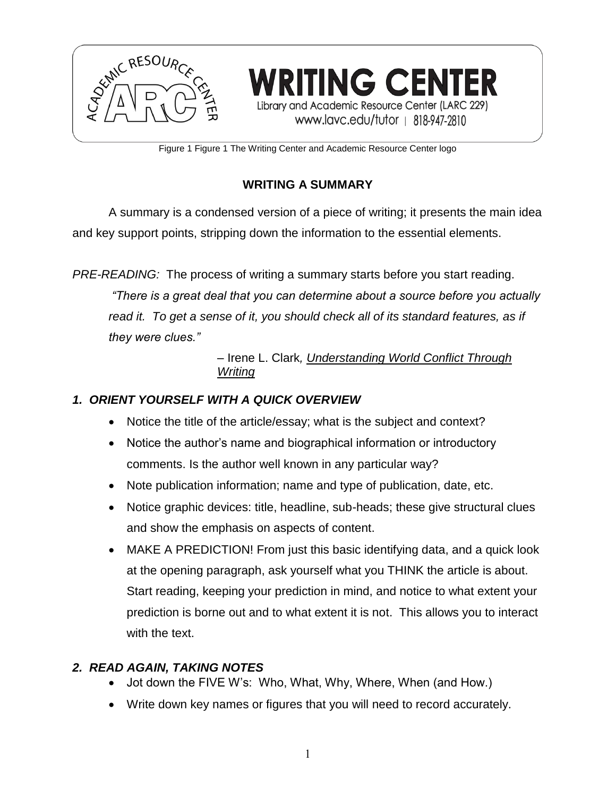

Figure 1 Figure 1 The Writing Center and Academic Resource Center logo

# **WRITING A SUMMARY**

A summary is a condensed version of a piece of writing; it presents the main idea and key support points, stripping down the information to the essential elements.

*PRE-READING:* The process of writing a summary starts before you start reading. *"There is a great deal that you can determine about a source before you actually read it. To get a sense of it, you should check all of its standard features, as if they were clues."*

> – Irene L. Clark*, Understanding World Conflict Through Writing*

## *1. ORIENT YOURSELF WITH A QUICK OVERVIEW*

- Notice the title of the article/essay; what is the subject and context?
- Notice the author's name and biographical information or introductory comments. Is the author well known in any particular way?
- Note publication information; name and type of publication, date, etc.
- Notice graphic devices: title, headline, sub-heads; these give structural clues and show the emphasis on aspects of content.
- MAKE A PREDICTION! From just this basic identifying data, and a quick look at the opening paragraph, ask yourself what you THINK the article is about. Start reading, keeping your prediction in mind, and notice to what extent your prediction is borne out and to what extent it is not. This allows you to interact with the text.

### *2. READ AGAIN, TAKING NOTES*

- Jot down the FIVE W's: Who, What, Why, Where, When (and How.)
- Write down key names or figures that you will need to record accurately.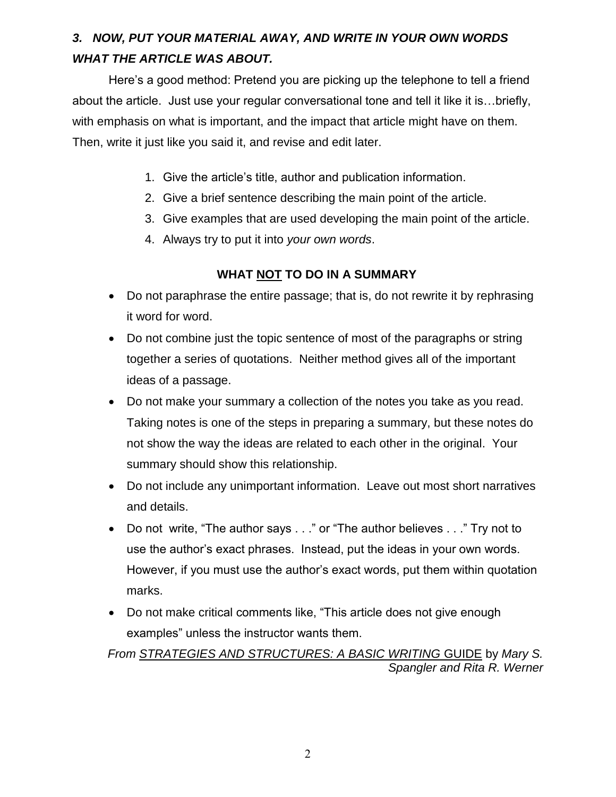# *3. NOW, PUT YOUR MATERIAL AWAY, AND WRITE IN YOUR OWN WORDS WHAT THE ARTICLE WAS ABOUT.*

Here's a good method: Pretend you are picking up the telephone to tell a friend about the article. Just use your regular conversational tone and tell it like it is…briefly, with emphasis on what is important, and the impact that article might have on them. Then, write it just like you said it, and revise and edit later.

- 1. Give the article's title, author and publication information.
- 2. Give a brief sentence describing the main point of the article.
- 3. Give examples that are used developing the main point of the article.
- 4. Always try to put it into *your own words*.

### **WHAT NOT TO DO IN A SUMMARY**

- Do not paraphrase the entire passage; that is, do not rewrite it by rephrasing it word for word.
- Do not combine just the topic sentence of most of the paragraphs or string together a series of quotations. Neither method gives all of the important ideas of a passage.
- Do not make your summary a collection of the notes you take as you read. Taking notes is one of the steps in preparing a summary, but these notes do not show the way the ideas are related to each other in the original. Your summary should show this relationship.
- Do not include any unimportant information. Leave out most short narratives and details.
- Do not write, "The author says . . ." or "The author believes . . ." Try not to use the author's exact phrases. Instead, put the ideas in your own words. However, if you must use the author's exact words, put them within quotation marks.
- Do not make critical comments like, "This article does not give enough examples" unless the instructor wants them.

*From STRATEGIES AND STRUCTURES: A BASIC WRITING* GUIDE by *Mary S. Spangler and Rita R. Werner*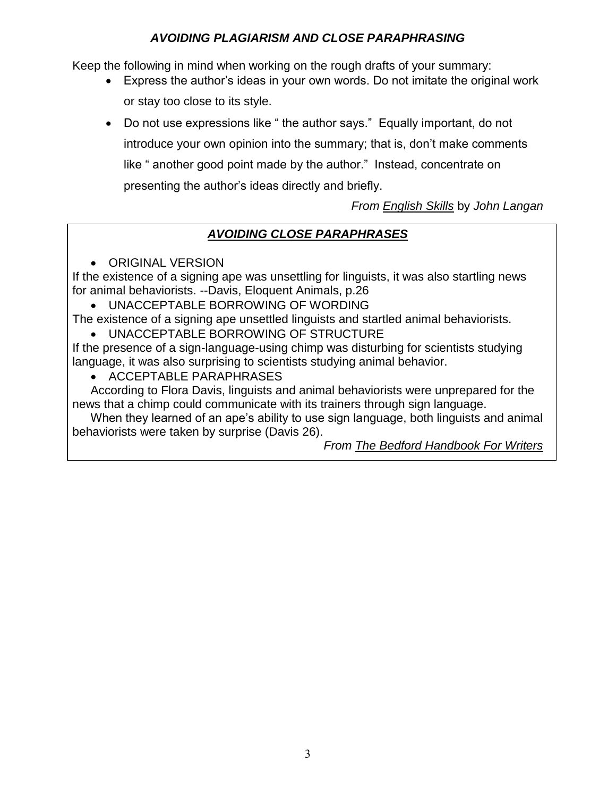# *AVOIDING PLAGIARISM AND CLOSE PARAPHRASING*

Keep the following in mind when working on the rough drafts of your summary:

- Express the author's ideas in your own words. Do not imitate the original work or stay too close to its style.
- Do not use expressions like " the author says." Equally important, do not introduce your own opinion into the summary; that is, don't make comments like " another good point made by the author." Instead, concentrate on presenting the author's ideas directly and briefly.

*From English Skills* by *John Langan*

# *AVOIDING CLOSE PARAPHRASES*

**• ORIGINAL VERSION** 

If the existence of a signing ape was unsettling for linguists, it was also startling news for animal behaviorists. --Davis, Eloquent Animals, p.26

UNACCEPTABLE BORROWING OF WORDING

The existence of a signing ape unsettled linguists and startled animal behaviorists.

UNACCEPTABLE BORROWING OF STRUCTURE

If the presence of a sign-language-using chimp was disturbing for scientists studying language, it was also surprising to scientists studying animal behavior.

• ACCEPTABLE PARAPHRASES

According to Flora Davis, linguists and animal behaviorists were unprepared for the news that a chimp could communicate with its trainers through sign language.

When they learned of an ape's ability to use sign language, both linguists and animal behaviorists were taken by surprise (Davis 26).

*From The Bedford Handbook For Writers*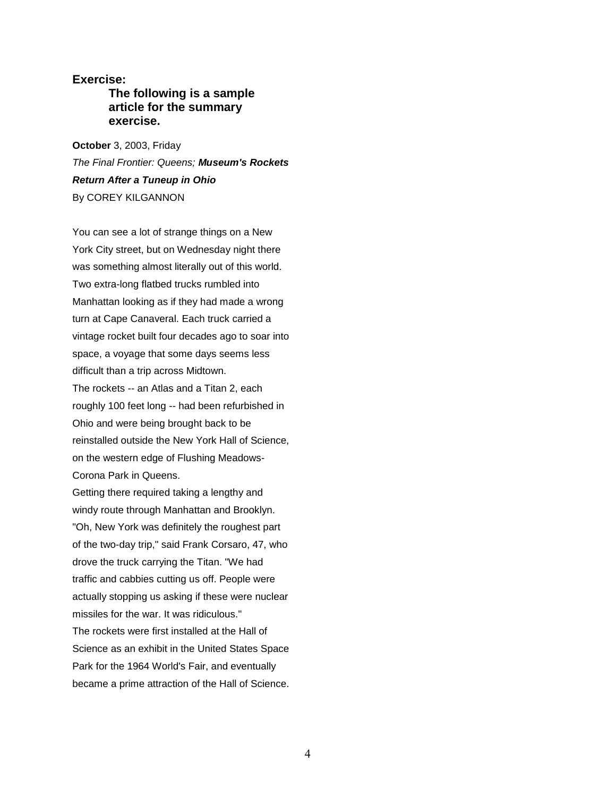### **Exercise:**

### **The following is a sample article for the summary exercise.**

**October** 3, 2003, Friday *The Final Frontier: Queens; Museum's Rockets Return After a Tuneup in Ohio* By COREY KILGANNON

You can see a lot of strange things on a New York City street, but on Wednesday night there was something almost literally out of this world. Two extra-long flatbed trucks rumbled into Manhattan looking as if they had made a wrong turn at Cape Canaveral. Each truck carried a vintage rocket built four decades ago to soar into space, a voyage that some days seems less difficult than a trip across Midtown. The rockets -- an Atlas and a Titan 2, each roughly 100 feet long -- had been refurbished in Ohio and were being brought back to be reinstalled outside the New York Hall of Science, on the western edge of Flushing Meadows-Corona Park in Queens. Getting there required taking a lengthy and

windy route through Manhattan and Brooklyn. "Oh, New York was definitely the roughest part of the two-day trip," said Frank Corsaro, 47, who drove the truck carrying the Titan. "We had traffic and cabbies cutting us off. People were actually stopping us asking if these were nuclear missiles for the war. It was ridiculous." The rockets were first installed at the Hall of Science as an exhibit in the United States Space Park for the 1964 World's Fair, and eventually became a prime attraction of the Hall of Science.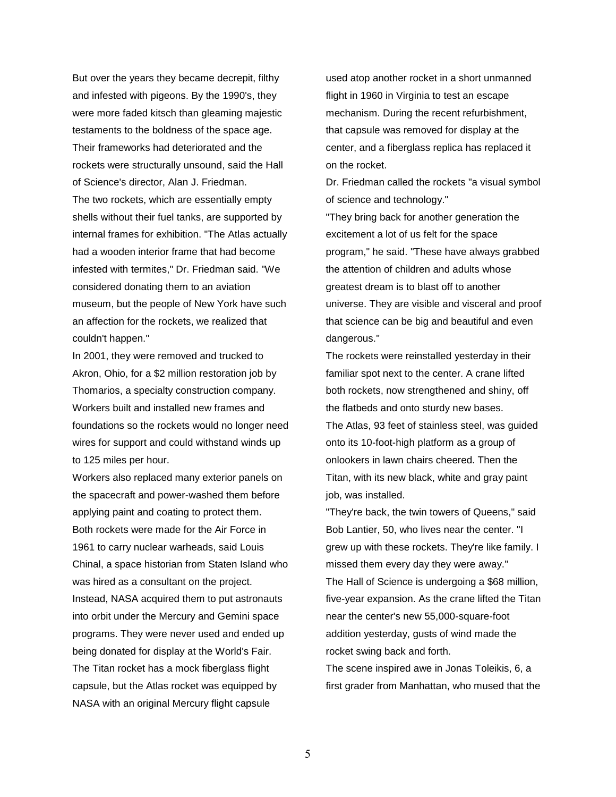But over the years they became decrepit, filthy and infested with pigeons. By the 1990's, they were more faded kitsch than gleaming majestic testaments to the boldness of the space age. Their frameworks had deteriorated and the rockets were structurally unsound, said the Hall of Science's director, Alan J. Friedman. The two rockets, which are essentially empty shells without their fuel tanks, are supported by internal frames for exhibition. "The Atlas actually had a wooden interior frame that had become infested with termites," Dr. Friedman said. "We considered donating them to an aviation museum, but the people of New York have such an affection for the rockets, we realized that couldn't happen."

In 2001, they were removed and trucked to Akron, Ohio, for a \$2 million restoration job by Thomarios, a specialty construction company. Workers built and installed new frames and foundations so the rockets would no longer need wires for support and could withstand winds up to 125 miles per hour.

Workers also replaced many exterior panels on the spacecraft and power-washed them before applying paint and coating to protect them. Both rockets were made for the Air Force in 1961 to carry nuclear warheads, said Louis Chinal, a space historian from Staten Island who was hired as a consultant on the project. Instead, NASA acquired them to put astronauts into orbit under the Mercury and Gemini space programs. They were never used and ended up being donated for display at the World's Fair. The Titan rocket has a mock fiberglass flight capsule, but the Atlas rocket was equipped by NASA with an original Mercury flight capsule

used atop another rocket in a short unmanned flight in 1960 in Virginia to test an escape mechanism. During the recent refurbishment, that capsule was removed for display at the center, and a fiberglass replica has replaced it on the rocket.

Dr. Friedman called the rockets "a visual symbol of science and technology."

"They bring back for another generation the excitement a lot of us felt for the space program," he said. "These have always grabbed the attention of children and adults whose greatest dream is to blast off to another universe. They are visible and visceral and proof that science can be big and beautiful and even dangerous."

The rockets were reinstalled yesterday in their familiar spot next to the center. A crane lifted both rockets, now strengthened and shiny, off the flatbeds and onto sturdy new bases.

The Atlas, 93 feet of stainless steel, was guided onto its 10-foot-high platform as a group of onlookers in lawn chairs cheered. Then the Titan, with its new black, white and gray paint job, was installed.

"They're back, the twin towers of Queens," said Bob Lantier, 50, who lives near the center. "I grew up with these rockets. They're like family. I missed them every day they were away."

The Hall of Science is undergoing a \$68 million, five-year expansion. As the crane lifted the Titan near the center's new 55,000-square-foot addition yesterday, gusts of wind made the rocket swing back and forth.

The scene inspired awe in Jonas Toleikis, 6, a first grader from Manhattan, who mused that the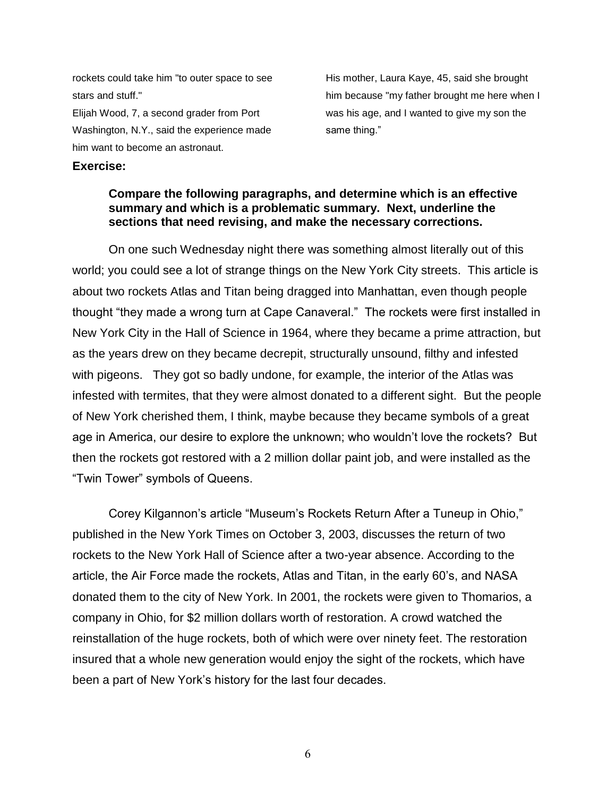rockets could take him "to outer space to see stars and stuff." Elijah Wood, 7, a second grader from Port Washington, N.Y., said the experience made him want to become an astronaut.

His mother, Laura Kaye, 45, said she brought him because "my father brought me here when I was his age, and I wanted to give my son the same thing."

#### **Exercise:**

#### **Compare the following paragraphs, and determine which is an effective summary and which is a problematic summary. Next, underline the sections that need revising, and make the necessary corrections.**

On one such Wednesday night there was something almost literally out of this world; you could see a lot of strange things on the New York City streets. This article is about two rockets Atlas and Titan being dragged into Manhattan, even though people thought "they made a wrong turn at Cape Canaveral." The rockets were first installed in New York City in the Hall of Science in 1964, where they became a prime attraction, but as the years drew on they became decrepit, structurally unsound, filthy and infested with pigeons. They got so badly undone, for example, the interior of the Atlas was infested with termites, that they were almost donated to a different sight. But the people of New York cherished them, I think, maybe because they became symbols of a great age in America, our desire to explore the unknown; who wouldn't love the rockets? But then the rockets got restored with a 2 million dollar paint job, and were installed as the "Twin Tower" symbols of Queens.

Corey Kilgannon's article "Museum's Rockets Return After a Tuneup in Ohio," published in the New York Times on October 3, 2003, discusses the return of two rockets to the New York Hall of Science after a two-year absence. According to the article, the Air Force made the rockets, Atlas and Titan, in the early 60's, and NASA donated them to the city of New York. In 2001, the rockets were given to Thomarios, a company in Ohio, for \$2 million dollars worth of restoration. A crowd watched the reinstallation of the huge rockets, both of which were over ninety feet. The restoration insured that a whole new generation would enjoy the sight of the rockets, which have been a part of New York's history for the last four decades.

6